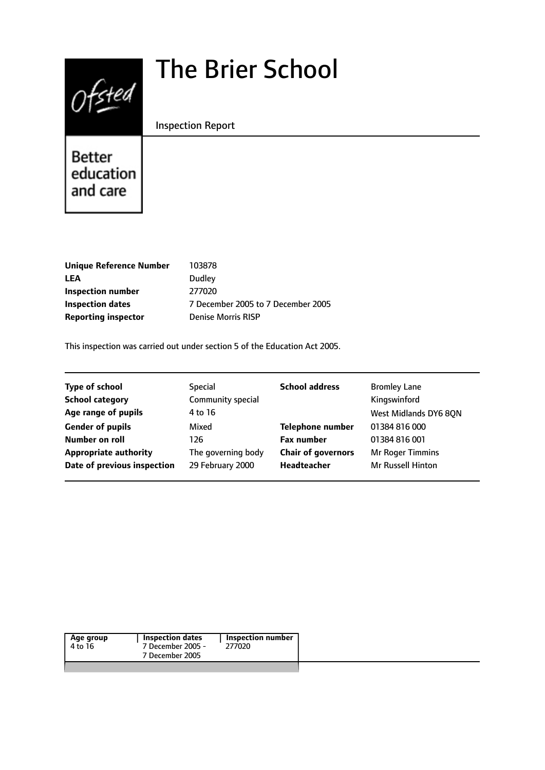# $0$ fsted

# The Brier School

Inspection Report

Better education and care

| Unique Reference Number    | 103878                             |
|----------------------------|------------------------------------|
| <b>LEA</b>                 | Dudley                             |
| Inspection number          | 277020                             |
| <b>Inspection dates</b>    | 7 December 2005 to 7 December 2005 |
| <b>Reporting inspector</b> | <b>Denise Morris RISP</b>          |
|                            |                                    |

This inspection was carried out under section 5 of the Education Act 2005.

| <b>Type of school</b>        | <b>Special</b>     | <b>School address</b>     | <b>Bromley Lane</b>   |
|------------------------------|--------------------|---------------------------|-----------------------|
| <b>School category</b>       | Community special  |                           | Kingswinford          |
| Age range of pupils          | 4 to 16            |                           | West Midlands DY6 8QN |
| <b>Gender of pupils</b>      | Mixed              | <b>Telephone number</b>   | 01384 816 000         |
| Number on roll               | 126                | <b>Fax number</b>         | 01384 816 001         |
| <b>Appropriate authority</b> | The governing body | <b>Chair of governors</b> | Mr Roger Timmins      |
| Date of previous inspection  | 29 February 2000   | Headteacher               | Mr Russell Hinton     |
|                              |                    |                           |                       |

| Age group | <b>Inspection dates</b> | Inspection number |
|-----------|-------------------------|-------------------|
| 4 to 16   | 7 December 2005 -       | 277020            |
|           | 7 December 2005         |                   |
|           |                         |                   |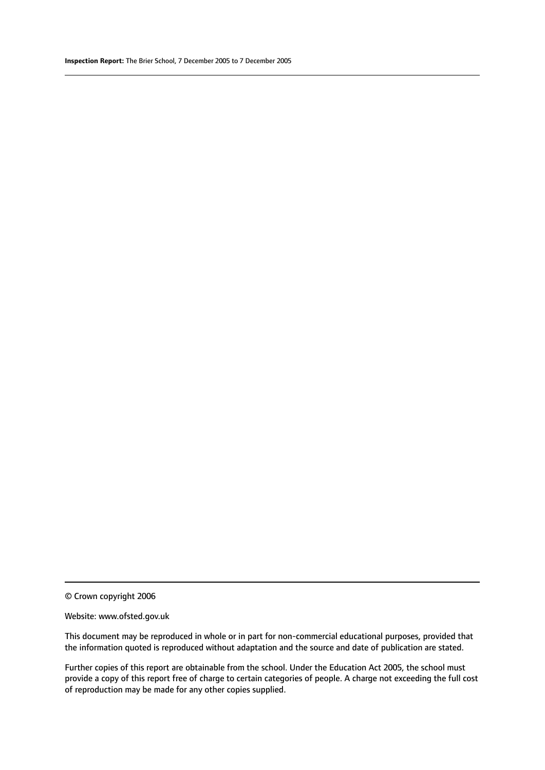#### Website: www.ofsted.gov.uk

This document may be reproduced in whole or in part for non-commercial educational purposes, provided that the information quoted is reproduced without adaptation and the source and date of publication are stated.

Further copies of this report are obtainable from the school. Under the Education Act 2005, the school must provide a copy of this report free of charge to certain categories of people. A charge not exceeding the full cost of reproduction may be made for any other copies supplied.

<sup>©</sup> Crown copyright 2006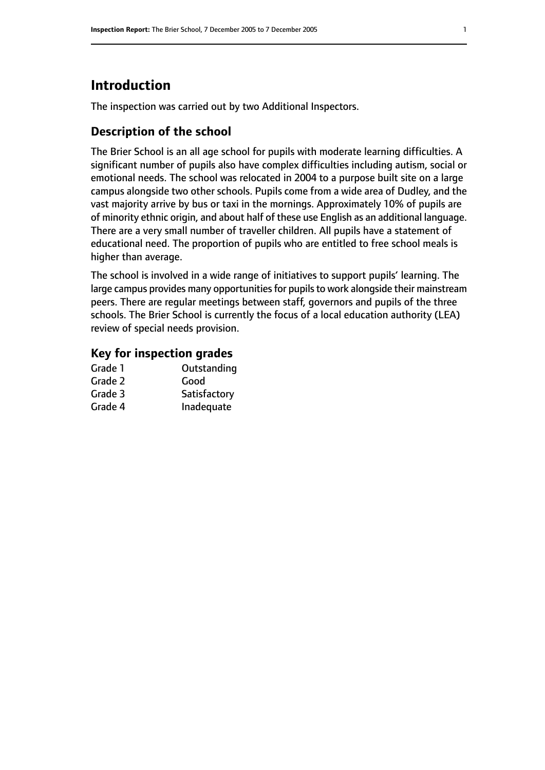# **Introduction**

The inspection was carried out by two Additional Inspectors.

#### **Description of the school**

The Brier School is an all age school for pupils with moderate learning difficulties. A significant number of pupils also have complex difficulties including autism, social or emotional needs. The school was relocated in 2004 to a purpose built site on a large campus alongside two other schools. Pupils come from a wide area of Dudley, and the vast majority arrive by bus or taxi in the mornings. Approximately 10% of pupils are of minority ethnic origin, and about half of these use English as an additional language. There are a very small number of traveller children. All pupils have a statement of educational need. The proportion of pupils who are entitled to free school meals is higher than average.

The school is involved in a wide range of initiatives to support pupils' learning. The large campus provides many opportunities for pupils to work alongside their mainstream peers. There are regular meetings between staff, governors and pupils of the three schools. The Brier School is currently the focus of a local education authority (LEA) review of special needs provision.

#### **Key for inspection grades**

| Grade 1 | Outstanding  |
|---------|--------------|
| Grade 2 | Good         |
| Grade 3 | Satisfactory |
| Grade 4 | Inadequate   |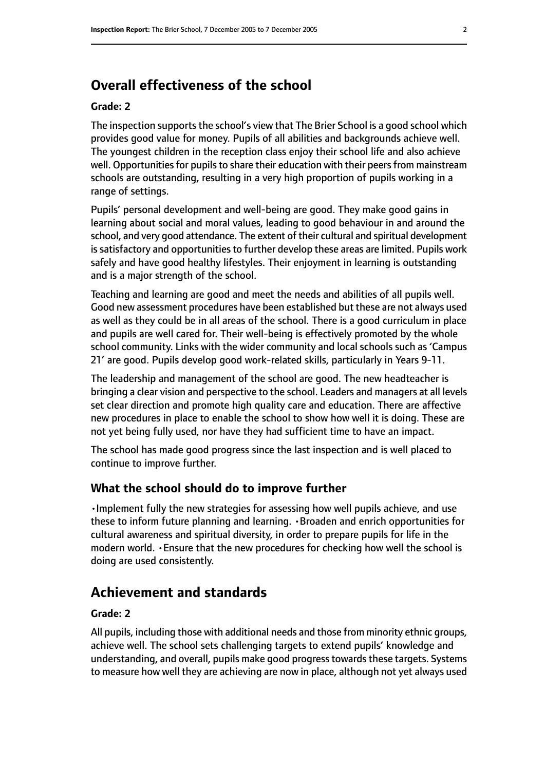# **Overall effectiveness of the school**

#### **Grade: 2**

The inspection supports the school's view that The Brier School is a good school which provides good value for money. Pupils of all abilities and backgrounds achieve well. The youngest children in the reception class enjoy their school life and also achieve well. Opportunities for pupils to share their education with their peers from mainstream schools are outstanding, resulting in a very high proportion of pupils working in a range of settings.

Pupils' personal development and well-being are good. They make good gains in learning about social and moral values, leading to good behaviour in and around the school, and very good attendance. The extent of their cultural and spiritual development is satisfactory and opportunities to further develop these areas are limited. Pupils work safely and have good healthy lifestyles. Their enjoyment in learning is outstanding and is a major strength of the school.

Teaching and learning are good and meet the needs and abilities of all pupils well. Good new assessment procedures have been established but these are not always used as well as they could be in all areas of the school. There is a good curriculum in place and pupils are well cared for. Their well-being is effectively promoted by the whole school community. Links with the wider community and local schools such as 'Campus 21' are good. Pupils develop good work-related skills, particularly in Years 9-11.

The leadership and management of the school are good. The new headteacher is bringing a clear vision and perspective to the school. Leaders and managers at all levels set clear direction and promote high quality care and education. There are affective new procedures in place to enable the school to show how well it is doing. These are not yet being fully used, nor have they had sufficient time to have an impact.

The school has made good progress since the last inspection and is well placed to continue to improve further.

#### **What the school should do to improve further**

•Implement fully the new strategies for assessing how well pupils achieve, and use these to inform future planning and learning. •Broaden and enrich opportunities for cultural awareness and spiritual diversity, in order to prepare pupils for life in the modern world. •Ensure that the new procedures for checking how well the school is doing are used consistently.

# **Achievement and standards**

#### **Grade: 2**

All pupils, including those with additional needs and those from minority ethnic groups, achieve well. The school sets challenging targets to extend pupils' knowledge and understanding, and overall, pupils make good progress towards these targets. Systems to measure how well they are achieving are now in place, although not yet always used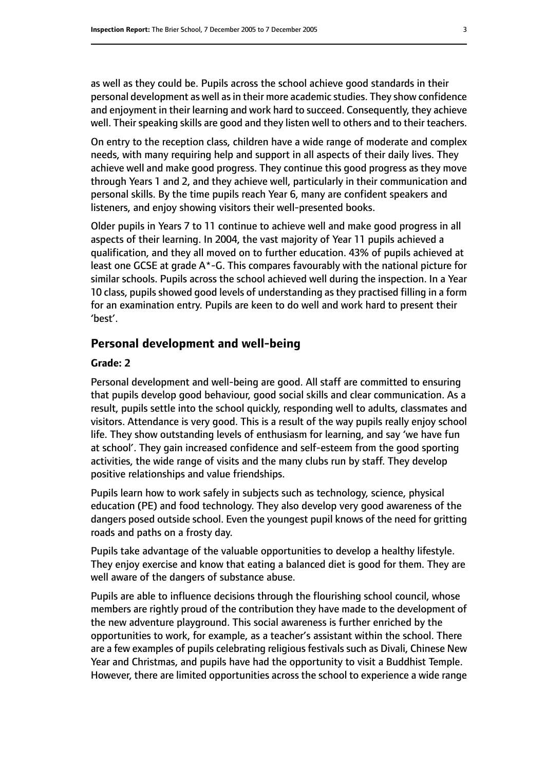as well as they could be. Pupils across the school achieve good standards in their personal development as well as in their more academic studies. They show confidence and enjoyment in their learning and work hard to succeed. Consequently, they achieve well. Their speaking skills are good and they listen well to others and to their teachers.

On entry to the reception class, children have a wide range of moderate and complex needs, with many requiring help and support in all aspects of their daily lives. They achieve well and make good progress. They continue this good progress as they move through Years 1 and 2, and they achieve well, particularly in their communication and personal skills. By the time pupils reach Year 6, many are confident speakers and listeners, and enjoy showing visitors their well-presented books.

Older pupils in Years 7 to 11 continue to achieve well and make good progress in all aspects of their learning. In 2004, the vast majority of Year 11 pupils achieved a qualification, and they all moved on to further education. 43% of pupils achieved at least one GCSE at grade A\*-G. This compares favourably with the national picture for similar schools. Pupils across the school achieved well during the inspection. In a Year 10 class, pupils showed good levels of understanding as they practised filling in a form for an examination entry. Pupils are keen to do well and work hard to present their 'best'.

#### **Personal development and well-being**

#### **Grade: 2**

Personal development and well-being are good. All staff are committed to ensuring that pupils develop good behaviour, good social skills and clear communication. As a result, pupils settle into the school quickly, responding well to adults, classmates and visitors. Attendance is very good. This is a result of the way pupils really enjoy school life. They show outstanding levels of enthusiasm for learning, and say 'we have fun at school'. They gain increased confidence and self-esteem from the good sporting activities, the wide range of visits and the many clubs run by staff. They develop positive relationships and value friendships.

Pupils learn how to work safely in subjects such as technology, science, physical education (PE) and food technology. They also develop very good awareness of the dangers posed outside school. Even the youngest pupil knows of the need for gritting roads and paths on a frosty day.

Pupils take advantage of the valuable opportunities to develop a healthy lifestyle. They enjoy exercise and know that eating a balanced diet is good for them. They are well aware of the dangers of substance abuse.

Pupils are able to influence decisions through the flourishing school council, whose members are rightly proud of the contribution they have made to the development of the new adventure playground. This social awareness is further enriched by the opportunities to work, for example, as a teacher's assistant within the school. There are a few examples of pupils celebrating religious festivals such as Divali, Chinese New Year and Christmas, and pupils have had the opportunity to visit a Buddhist Temple. However, there are limited opportunities across the school to experience a wide range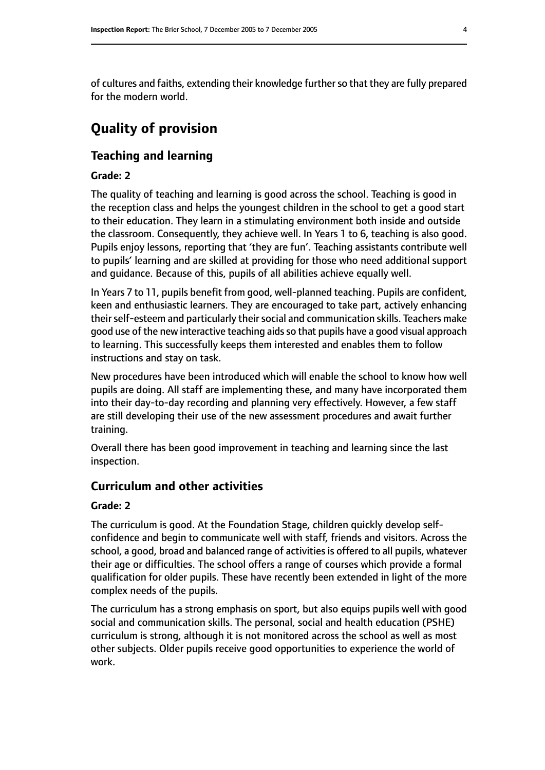of cultures and faiths, extending their knowledge furtherso that they are fully prepared for the modern world.

# **Quality of provision**

# **Teaching and learning**

#### **Grade: 2**

The quality of teaching and learning is good across the school. Teaching is good in the reception class and helps the youngest children in the school to get a good start to their education. They learn in a stimulating environment both inside and outside the classroom. Consequently, they achieve well. In Years 1 to 6, teaching is also good. Pupils enjoy lessons, reporting that 'they are fun'. Teaching assistants contribute well to pupils' learning and are skilled at providing for those who need additional support and guidance. Because of this, pupils of all abilities achieve equally well.

In Years 7 to 11, pupils benefit from good, well-planned teaching. Pupils are confident, keen and enthusiastic learners. They are encouraged to take part, actively enhancing their self-esteem and particularly their social and communication skills. Teachers make good use of the new interactive teaching aidsso that pupils have a good visual approach to learning. This successfully keeps them interested and enables them to follow instructions and stay on task.

New procedures have been introduced which will enable the school to know how well pupils are doing. All staff are implementing these, and many have incorporated them into their day-to-day recording and planning very effectively. However, a few staff are still developing their use of the new assessment procedures and await further training.

Overall there has been good improvement in teaching and learning since the last inspection.

#### **Curriculum and other activities**

#### **Grade: 2**

The curriculum is good. At the Foundation Stage, children quickly develop selfconfidence and begin to communicate well with staff, friends and visitors. Across the school, a good, broad and balanced range of activities is offered to all pupils, whatever their age or difficulties. The school offers a range of courses which provide a formal qualification for older pupils. These have recently been extended in light of the more complex needs of the pupils.

The curriculum has a strong emphasis on sport, but also equips pupils well with good social and communication skills. The personal, social and health education (PSHE) curriculum is strong, although it is not monitored across the school as well as most other subjects. Older pupils receive good opportunities to experience the world of work.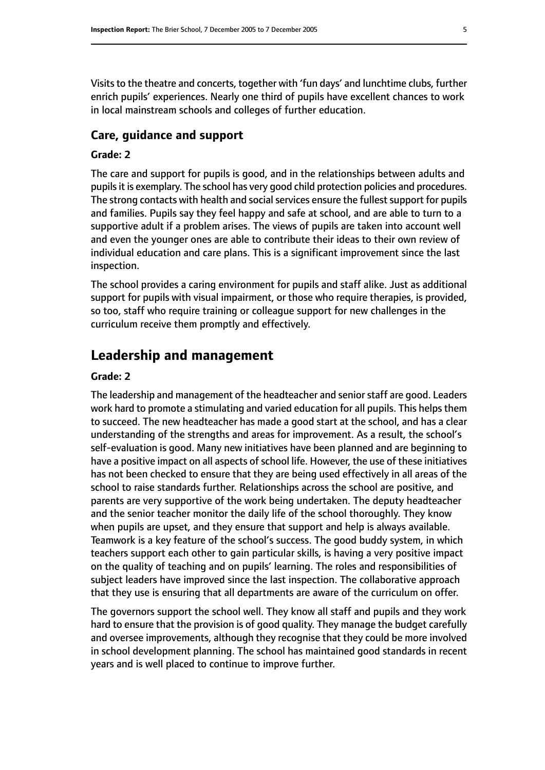Visits to the theatre and concerts, together with 'fun days' and lunchtime clubs, further enrich pupils' experiences. Nearly one third of pupils have excellent chances to work in local mainstream schools and colleges of further education.

#### **Care, guidance and support**

#### **Grade: 2**

The care and support for pupils is good, and in the relationships between adults and pupils it is exemplary. The school has very good child protection policies and procedures. The strong contacts with health and social services ensure the fullest support for pupils and families. Pupils say they feel happy and safe at school, and are able to turn to a supportive adult if a problem arises. The views of pupils are taken into account well and even the younger ones are able to contribute their ideas to their own review of individual education and care plans. This is a significant improvement since the last inspection.

The school provides a caring environment for pupils and staff alike. Just as additional support for pupils with visual impairment, or those who require therapies, is provided, so too, staff who require training or colleague support for new challenges in the curriculum receive them promptly and effectively.

#### **Leadership and management**

#### **Grade: 2**

The leadership and management of the headteacher and senior staff are good. Leaders work hard to promote a stimulating and varied education for all pupils. This helps them to succeed. The new headteacher has made a good start at the school, and has a clear understanding of the strengths and areas for improvement. As a result, the school's self-evaluation is good. Many new initiatives have been planned and are beginning to have a positive impact on all aspects of school life. However, the use of these initiatives has not been checked to ensure that they are being used effectively in all areas of the school to raise standards further. Relationships across the school are positive, and parents are very supportive of the work being undertaken. The deputy headteacher and the senior teacher monitor the daily life of the school thoroughly. They know when pupils are upset, and they ensure that support and help is always available. Teamwork is a key feature of the school's success. The good buddy system, in which teachers support each other to gain particular skills, is having a very positive impact on the quality of teaching and on pupils' learning. The roles and responsibilities of subject leaders have improved since the last inspection. The collaborative approach that they use is ensuring that all departments are aware of the curriculum on offer.

The governors support the school well. They know all staff and pupils and they work hard to ensure that the provision is of good quality. They manage the budget carefully and oversee improvements, although they recognise that they could be more involved in school development planning. The school has maintained good standards in recent years and is well placed to continue to improve further.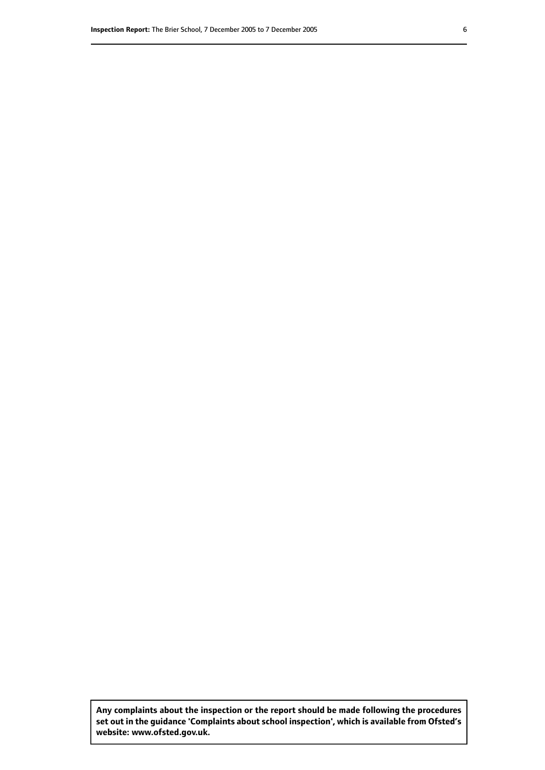**Any complaints about the inspection or the report should be made following the procedures set out inthe guidance 'Complaints about school inspection', whichis available from Ofsted's website: www.ofsted.gov.uk.**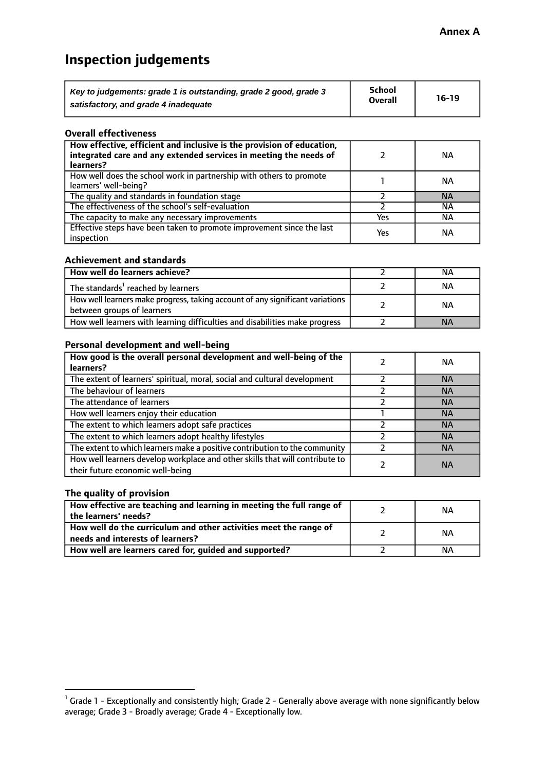# **Inspection judgements**

| Key to judgements: grade 1 is outstanding, grade 2 good, grade 3 | <b>School</b>  | $16-19$ |
|------------------------------------------------------------------|----------------|---------|
| satisfactory, and grade 4 inadequate                             | <b>Overall</b> |         |

#### **Overall effectiveness**

| How effective, efficient and inclusive is the provision of education,<br>integrated care and any extended services in meeting the needs of<br>learners? |     | <b>NA</b> |
|---------------------------------------------------------------------------------------------------------------------------------------------------------|-----|-----------|
| How well does the school work in partnership with others to promote<br>learners' well-being?                                                            |     | ΝA        |
| The quality and standards in foundation stage                                                                                                           |     | <b>NA</b> |
| The effectiveness of the school's self-evaluation                                                                                                       |     | ΝA        |
| The capacity to make any necessary improvements                                                                                                         | Yes | NА        |
| Effective steps have been taken to promote improvement since the last<br>inspection                                                                     | Yes | <b>NA</b> |

#### **Achievement and standards**

| How well do learners achieve?                                                                               | ΝA        |
|-------------------------------------------------------------------------------------------------------------|-----------|
| The standards <sup>1</sup> reached by learners                                                              | NА        |
| How well learners make progress, taking account of any significant variations<br>between groups of learners | <b>NA</b> |
| How well learners with learning difficulties and disabilities make progress                                 | <b>NA</b> |

#### **Personal development and well-being**

| How good is the overall personal development and well-being of the<br>learners?                                  |   | ΝA        |
|------------------------------------------------------------------------------------------------------------------|---|-----------|
| The extent of learners' spiritual, moral, social and cultural development                                        |   | <b>NA</b> |
| The behaviour of learners                                                                                        |   | <b>NA</b> |
| The attendance of learners                                                                                       |   | <b>NA</b> |
| How well learners enjoy their education                                                                          |   | <b>NA</b> |
| The extent to which learners adopt safe practices                                                                |   | <b>NA</b> |
| The extent to which learners adopt healthy lifestyles                                                            | ว | <b>NA</b> |
| The extent to which learners make a positive contribution to the community                                       |   | <b>NA</b> |
| How well learners develop workplace and other skills that will contribute to<br>their future economic well-being |   | <b>NA</b> |

#### **The quality of provision**

| How effective are teaching and learning in meeting the full range of<br>the learners' needs?          | ΝA |
|-------------------------------------------------------------------------------------------------------|----|
| How well do the curriculum and other activities meet the range of<br>needs and interests of learners? | ΝA |
| How well are learners cared for, guided and supported?                                                | NА |

 $^1$  Grade 1 - Exceptionally and consistently high; Grade 2 - Generally above average with none significantly below average; Grade 3 - Broadly average; Grade 4 - Exceptionally low.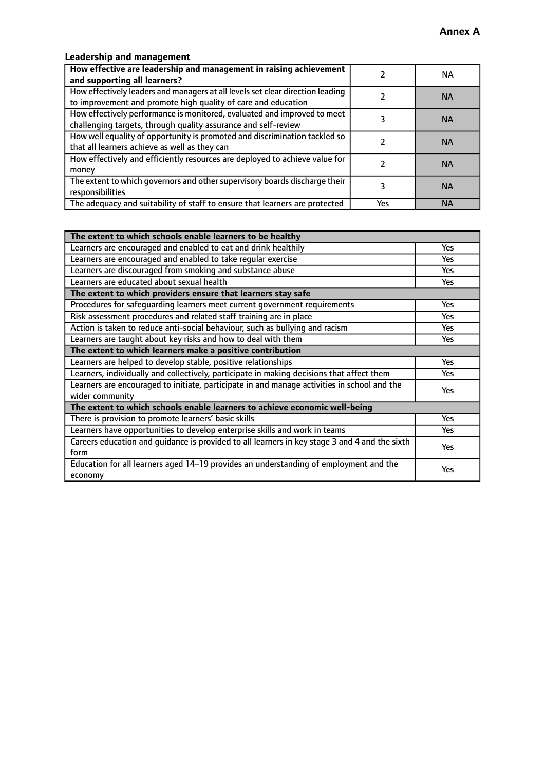### **Leadership and management**

| How effective are leadership and management in raising achievement<br>and supporting all learners?                                              |     | NA.       |
|-------------------------------------------------------------------------------------------------------------------------------------------------|-----|-----------|
| How effectively leaders and managers at all levels set clear direction leading<br>to improvement and promote high quality of care and education |     | <b>NA</b> |
| How effectively performance is monitored, evaluated and improved to meet<br>challenging targets, through quality assurance and self-review      |     | <b>NA</b> |
| How well equality of opportunity is promoted and discrimination tackled so<br>that all learners achieve as well as they can                     |     | <b>NA</b> |
| How effectively and efficiently resources are deployed to achieve value for<br>money                                                            |     | <b>NA</b> |
| The extent to which governors and other supervisory boards discharge their<br>responsibilities                                                  |     | <b>NA</b> |
| The adequacy and suitability of staff to ensure that learners are protected                                                                     | Yes | <b>NA</b> |

| The extent to which schools enable learners to be healthy                                     |            |  |
|-----------------------------------------------------------------------------------------------|------------|--|
| Learners are encouraged and enabled to eat and drink healthily                                | <b>Yes</b> |  |
| Learners are encouraged and enabled to take regular exercise                                  | Yes        |  |
| Learners are discouraged from smoking and substance abuse                                     | <b>Yes</b> |  |
| Learners are educated about sexual health                                                     | <b>Yes</b> |  |
| The extent to which providers ensure that learners stay safe                                  |            |  |
| Procedures for safequarding learners meet current government requirements                     | Yes        |  |
| Risk assessment procedures and related staff training are in place                            | Yes        |  |
| Action is taken to reduce anti-social behaviour, such as bullying and racism                  | Yes        |  |
| Learners are taught about key risks and how to deal with them                                 |            |  |
| The extent to which learners make a positive contribution                                     |            |  |
| Learners are helped to develop stable, positive relationships                                 | Yes        |  |
| Learners, individually and collectively, participate in making decisions that affect them     |            |  |
| Learners are encouraged to initiate, participate in and manage activities in school and the   | <b>Yes</b> |  |
| wider community                                                                               |            |  |
| The extent to which schools enable learners to achieve economic well-being                    |            |  |
| There is provision to promote learners' basic skills                                          | Yes        |  |
| Learners have opportunities to develop enterprise skills and work in teams                    | <b>Yes</b> |  |
| Careers education and guidance is provided to all learners in key stage 3 and 4 and the sixth | Yes        |  |
| form                                                                                          |            |  |
| Education for all learners aged 14-19 provides an understanding of employment and the         | <b>Yes</b> |  |
| economy                                                                                       |            |  |